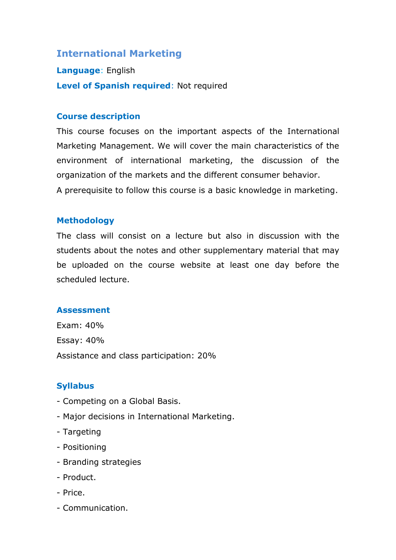# **International Marketing**

**Language**: English **Level of Spanish required**: Not required

### **Course description**

This course focuses on the important aspects of the International Marketing Management. We will cover the main characteristics of the environment of international marketing, the discussion of the organization of the markets and the different consumer behavior. A prerequisite to follow this course is a basic knowledge in marketing.

### **Methodology**

The class will consist on a lecture but also in discussion with the students about the notes and other supplementary material that may be uploaded on the course website at least one day before the scheduled lecture.

#### **Assessment**

Exam: 40% Essay: 40% Assistance and class participation: 20%

#### **Syllabus**

- Competing on a Global Basis.
- Major decisions in International Marketing.
- Targeting
- Positioning
- Branding strategies
- Product.
- Price.
- Communication.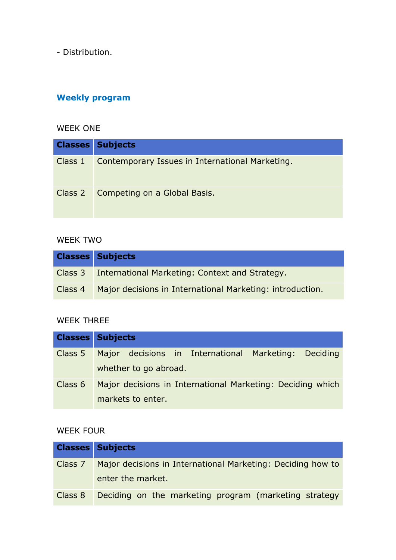- Distribution.

# **Weekly program**

### WEEK ONE

| <b>Classes Subjects</b>                                   |
|-----------------------------------------------------------|
| Class 1   Contemporary Issues in International Marketing. |
| Class 2   Competing on a Global Basis.                    |

### WEEK TWO

| <b>Classes Subjects</b>                                             |
|---------------------------------------------------------------------|
| Class 3 International Marketing: Context and Strategy.              |
| Class 4   Major decisions in International Marketing: introduction. |

# WEEK THREE

| <b>Classes Subjects</b> |                       |                                                            |  |
|-------------------------|-----------------------|------------------------------------------------------------|--|
| Class 5                 | whether to go abroad. | Major decisions in International Marketing: Deciding       |  |
| Class 6                 | markets to enter.     | Major decisions in International Marketing: Deciding which |  |

# WEEK FOUR

|         | <b>Classes Subjects</b>                                             |
|---------|---------------------------------------------------------------------|
|         | Class 7 Major decisions in International Marketing: Deciding how to |
|         | enter the market.                                                   |
| Class 8 | Deciding on the marketing program (marketing strategy               |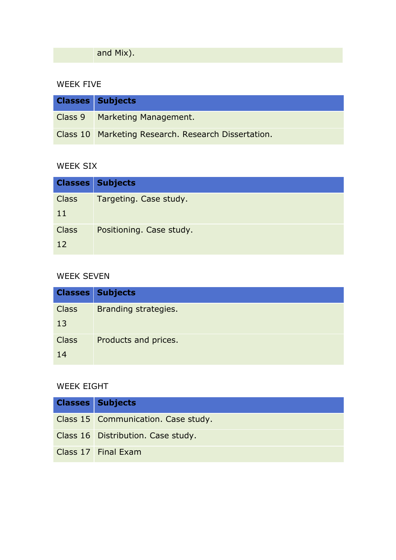**and Mix).** 

### WEEK FIVE

| <b>Classes Subjects</b>                             |
|-----------------------------------------------------|
| Class 9 Marketing Management.                       |
| Class 10 Marketing Research. Research Dissertation. |

# WEEK SIX

|              | <b>Classes Subjects</b>  |
|--------------|--------------------------|
| <b>Class</b> | Targeting. Case study.   |
| 11           |                          |
| <b>Class</b> | Positioning. Case study. |
| 12           |                          |

### WEEK SEVEN

|              | <b>Classes Subjects</b> |
|--------------|-------------------------|
| <b>Class</b> | Branding strategies.    |
| 13           |                         |
| <b>Class</b> | Products and prices.    |
| 14           |                         |

# WEEK EIGHT

| <b>Classes Subjects</b>             |
|-------------------------------------|
| Class 15 Communication. Case study. |
| Class 16 Distribution. Case study.  |
| Class 17 Final Exam                 |